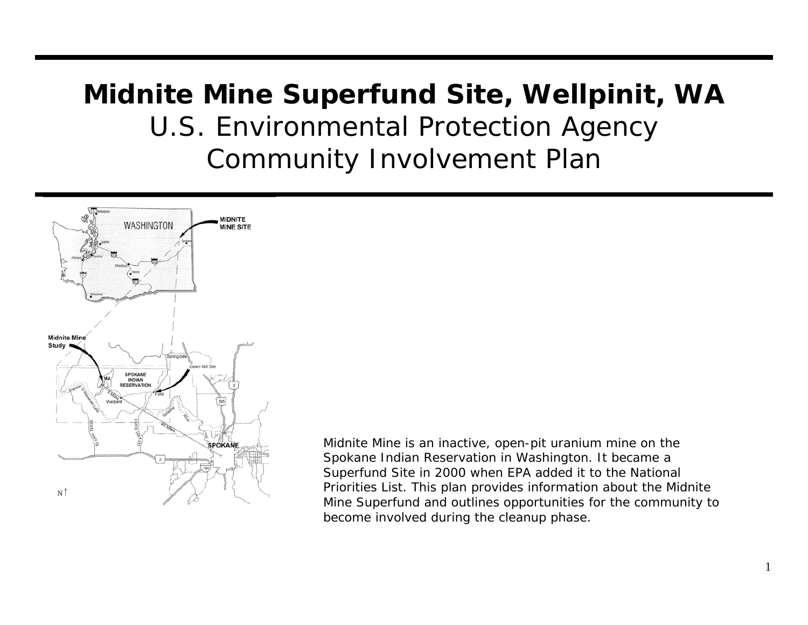# **Midnite Mine Superfund Site, Wellpinit, WA**  U.S. Environmental Protection Agency Community Involvement Plan



*Midnite Mine is an inactive, open-pit uranium mine on the Spokane Indian Reservation in Washington. It became a Superfund Site in 2000 when EPA added it to the National Priorities List. This plan provides information about the Midnite Mine Superfund and outlines opportunities for the community to become involved during the cleanup phase.*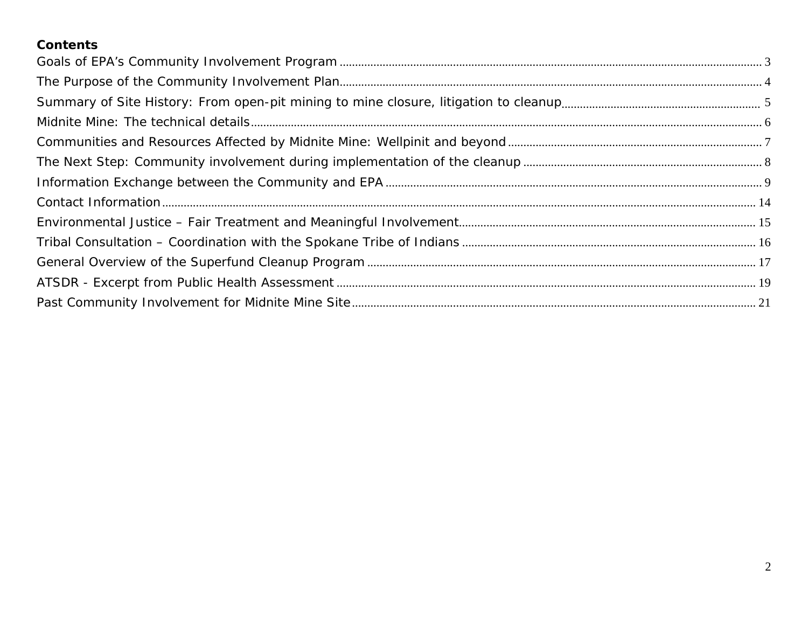### **Contents**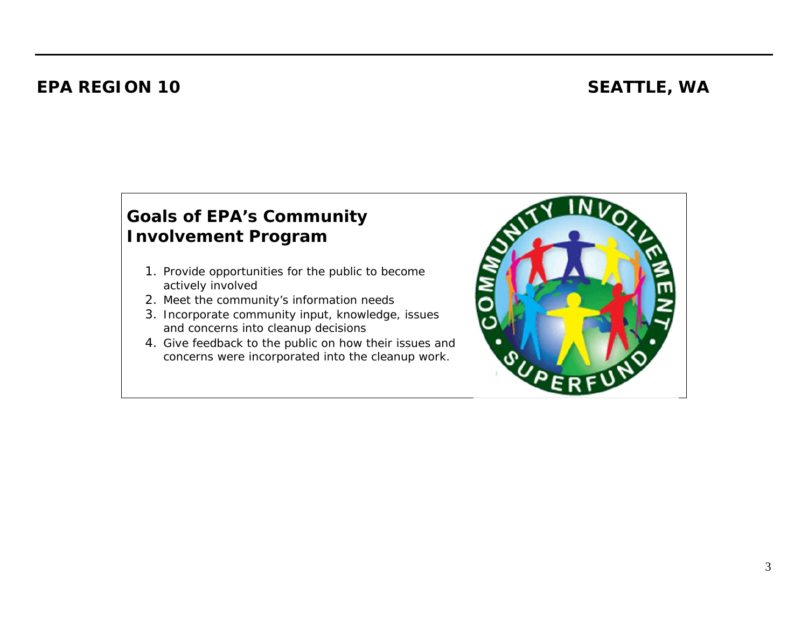### **EPA REGION 10 SEATTLE, WA**

### **Goals of EPA's Community Involvement Program**

- 1. Provide opportunities for the public to become actively involved
- 2. Meet the community's information needs
- 3. Incorporate community input, knowledge, issues and concerns into cleanup decisions
- 4. Give feedback to the public on how their issues and concerns were incorporated into the cleanup work.

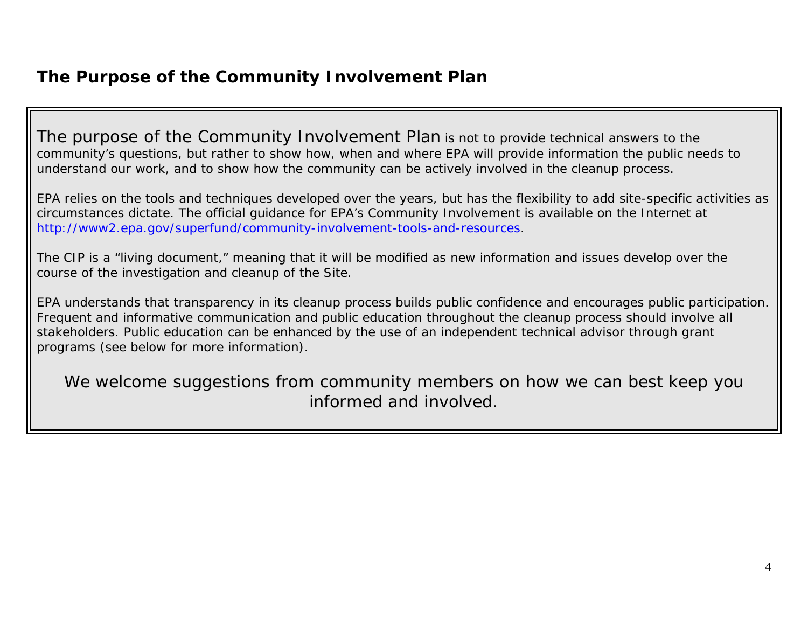### **The Purpose of the Community Involvement Plan**

The purpose of the Community Involvement Plan is not to provide technical answers to the community's questions, but rather to show how, when and where EPA will provide information the public needs to understand our work, and to show how the community can be actively involved in the cleanup process.

EPA relies on the tools and techniques developed over the years, but has the flexibility to add site-specific activities as circumstances dictate. The official guidance for EPA's Community Involvement is available on the Internet at http://www2.epa.gov/superfund/community-involvement-tools-and-resources.

The CIP is a "living document," meaning that it will be modified as new information and issues develop over the course of the investigation and cleanup of the Site.

EPA understands that transparency in its cleanup process builds public confidence and encourages public participation. Frequent and informative communication and public education throughout the cleanup process should involve all stakeholders. Public education can be enhanced by the use of an independent technical advisor through grant programs (see below for more information).

We welcome suggestions from community members on how we can best keep you informed and involved.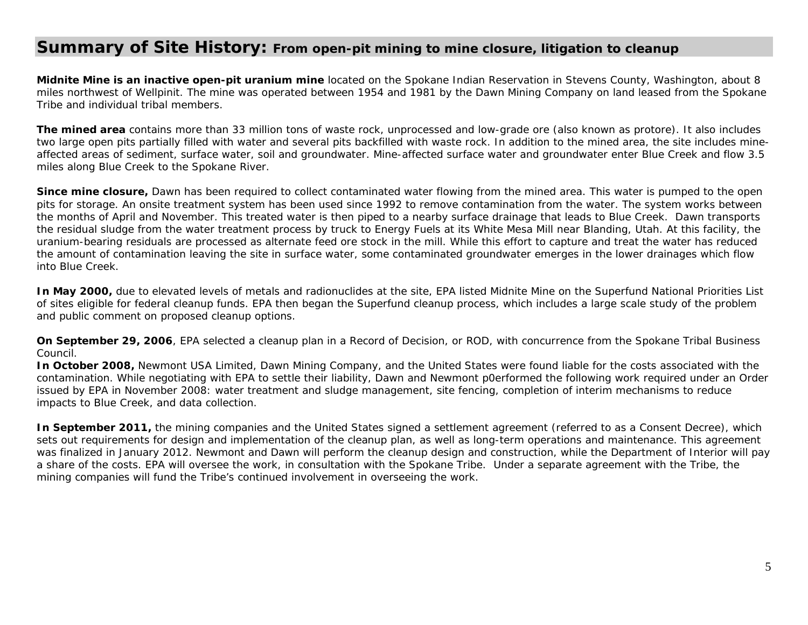### **Summary of Site History: From open-pit mining to mine closure, litigation to cleanup**

**Midnite Mine is an inactive open-pit uranium mine** located on the Spokane Indian Reservation in Stevens County, Washington, about 8 miles northwest of Wellpinit. The mine was operated between 1954 and 1981 by the Dawn Mining Company on land leased from the Spokane Tribe and individual tribal members.

**The mined area** contains more than 33 million tons of waste rock, unprocessed and low-grade ore (also known as protore). It also includes two large open pits partially filled with water and several pits backfilled with waste rock. In addition to the mined area, the site includes mineaffected areas of sediment, surface water, soil and groundwater. Mine-affected surface water and groundwater enter Blue Creek and flow 3.5 miles along Blue Creek to the Spokane River.

**Since mine closure,** Dawn has been required to collect contaminated water flowing from the mined area. This water is pumped to the open pits for storage. An onsite treatment system has been used since 1992 to remove contamination from the water. The system works between the months of April and November. This treated water is then piped to a nearby surface drainage that leads to Blue Creek. Dawn transports the residual sludge from the water treatment process by truck to Energy Fuels at its White Mesa Mill near Blanding, Utah. At this facility, the uranium-bearing residuals are processed as alternate feed ore stock in the mill. While this effort to capture and treat the water has reduced the amount of contamination leaving the site in surface water, some contaminated groundwater emerges in the lower drainages which flow into Blue Creek.

**In May 2000,** due to elevated levels of metals and radionuclides at the site, EPA listed Midnite Mine on the Superfund National Priorities List of sites eligible for federal cleanup funds. EPA then began the Superfund cleanup process, which includes a large scale study of the problem and public comment on proposed cleanup options.

**On September 29, 2006**, EPA selected a cleanup plan in a Record of Decision, or ROD, with concurrence from the Spokane Tribal Business Council.

**In October 2008,** Newmont USA Limited, Dawn Mining Company, and the United States were found liable for the costs associated with the contamination. While negotiating with EPA to settle their liability, Dawn and Newmont p0erformed the following work required under an Order issued by EPA in November 2008: water treatment and sludge management, site fencing, completion of interim mechanisms to reduce impacts to Blue Creek, and data collection.

**In September 2011,** the mining companies and the United States signed a settlement agreement (referred to as a Consent Decree), which sets out requirements for design and implementation of the cleanup plan, as well as long-term operations and maintenance. This agreement was finalized in January 2012. Newmont and Dawn will perform the cleanup design and construction, while the Department of Interior will pay a share of the costs. EPA will oversee the work, in consultation with the Spokane Tribe. Under a separate agreement with the Tribe, the mining companies will fund the Tribe's continued involvement in overseeing the work.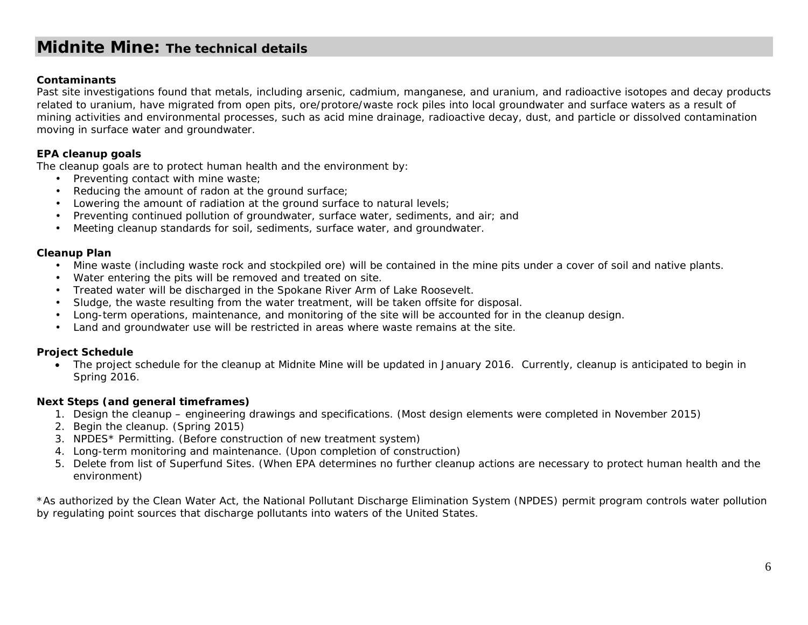### **Midnite Mine: The technical details**

#### **Contaminants**

Past site investigations found that metals, including arsenic, cadmium, manganese, and uranium, and radioactive isotopes and decay products related to uranium, have migrated from open pits, ore/protore/waste rock piles into local groundwater and surface waters as a result of mining activities and environmental processes, such as acid mine drainage, radioactive decay, dust, and particle or dissolved contamination moving in surface water and groundwater.

#### **EPA cleanup goals**

The cleanup goals are to protect human health and the environment by:

- Preventing contact with mine waste;
- Reducing the amount of radon at the ground surface;
- Lowering the amount of radiation at the ground surface to natural levels;
- Preventing continued pollution of groundwater, surface water, sediments, and air; and
- Meeting cleanup standards for soil, sediments, surface water, and groundwater.

#### **Cleanup Plan**

- Mine waste (including waste rock and stockpiled ore) will be contained in the mine pits under a cover of soil and native plants.
- Water entering the pits will be removed and treated on site.
- Treated water will be discharged in the Spokane River Arm of Lake Roosevelt.
- Sludge, the waste resulting from the water treatment, will be taken offsite for disposal.
- Long-term operations, maintenance, and monitoring of the site will be accounted for in the cleanup design.
- Land and groundwater use will be restricted in areas where waste remains at the site.

#### **Project Schedule**

 The project schedule for the cleanup at Midnite Mine will be updated in January 2016. Currently, cleanup is anticipated to begin in Spring 2016.

#### **Next Steps (and general timeframes)**

- 1. Design the cleanup engineering drawings and specifications. (Most design elements were completed in November 2015)
- 2. Begin the cleanup. (Spring 2015)
- 3. NPDES\* Permitting. (Before construction of new treatment system)
- 4. Long-term monitoring and maintenance. (Upon completion of construction)
- 5. Delete from list of Superfund Sites. (When EPA determines no further cleanup actions are necessary to protect human health and the environment)

\*As authorized by the Clean Water Act, the National Pollutant Discharge Elimination System (NPDES) permit program controls water pollution by regulating point sources that discharge pollutants into waters of the United States.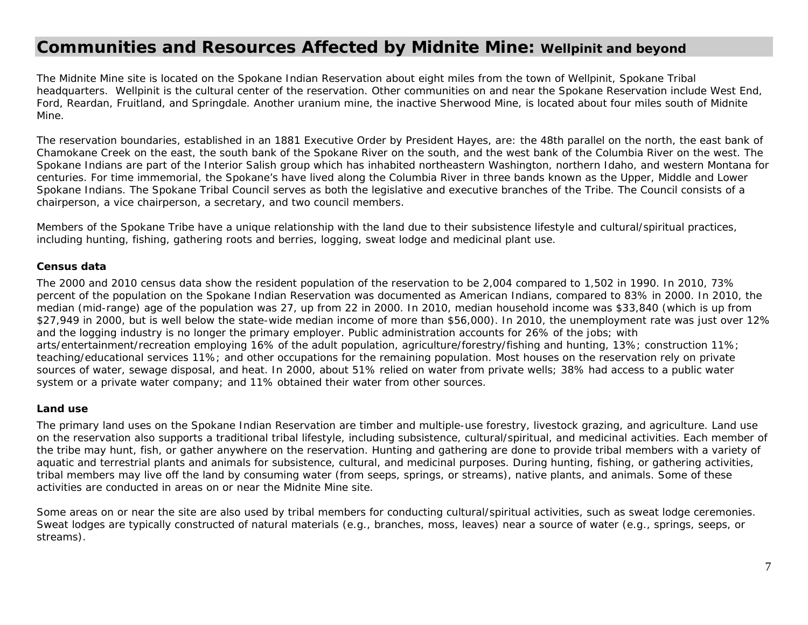### **Communities and Resources Affected by Midnite Mine: Wellpinit and beyond**

The Midnite Mine site is located on the Spokane Indian Reservation about eight miles from the town of Wellpinit, Spokane Tribal headquarters. Wellpinit is the cultural center of the reservation. Other communities on and near the Spokane Reservation include West End, Ford, Reardan, Fruitland, and Springdale. Another uranium mine, the inactive Sherwood Mine, is located about four miles south of Midnite Mine.

The reservation boundaries, established in an 1881 Executive Order by President Hayes, are: the 48th parallel on the north, the east bank of Chamokane Creek on the east, the south bank of the Spokane River on the south, and the west bank of the Columbia River on the west. The Spokane Indians are part of the Interior Salish group which has inhabited northeastern Washington, northern Idaho, and western Montana for centuries. For time immemorial, the Spokane's have lived along the Columbia River in three bands known as the Upper, Middle and Lower Spokane Indians. The Spokane Tribal Council serves as both the legislative and executive branches of the Tribe. The Council consists of a chairperson, a vice chairperson, a secretary, and two council members.

Members of the Spokane Tribe have a unique relationship with the land due to their subsistence lifestyle and cultural/spiritual practices, including hunting, fishing, gathering roots and berries, logging, sweat lodge and medicinal plant use.

#### *Census data*

The 2000 and 2010 census data show the resident population of the reservation to be 2,004 compared to 1,502 in 1990. In 2010, 73% percent of the population on the Spokane Indian Reservation was documented as American Indians, compared to 83% in 2000. In 2010, the median (mid-range) age of the population was 27, up from 22 in 2000. In 2010, median household income was \$33,840 (which is up from \$27,949 in 2000, but is well below the state-wide median income of more than \$56,000). In 2010, the unemployment rate was just over 12% and the logging industry is no longer the primary employer. Public administration accounts for 26% of the jobs; with arts/entertainment/recreation employing 16% of the adult population, agriculture/forestry/fishing and hunting, 13%; construction 11%; teaching/educational services 11%; and other occupations for the remaining population. Most houses on the reservation rely on private sources of water, sewage disposal, and heat. In 2000, about 51% relied on water from private wells; 38% had access to a public water system or a private water company; and 11% obtained their water from other sources.

#### *Land use*

The primary land uses on the Spokane Indian Reservation are timber and multiple-use forestry, livestock grazing, and agriculture. Land use on the reservation also supports a traditional tribal lifestyle, including subsistence, cultural/spiritual, and medicinal activities. Each member of the tribe may hunt, fish, or gather anywhere on the reservation. Hunting and gathering are done to provide tribal members with a variety of aquatic and terrestrial plants and animals for subsistence, cultural, and medicinal purposes. During hunting, fishing, or gathering activities, tribal members may live off the land by consuming water (from seeps, springs, or streams), native plants, and animals. Some of these activities are conducted in areas on or near the Midnite Mine site.

Some areas on or near the site are also used by tribal members for conducting cultural/spiritual activities, such as sweat lodge ceremonies. Sweat lodges are typically constructed of natural materials (e.g., branches, moss, leaves) near a source of water (e.g., springs, seeps, or streams).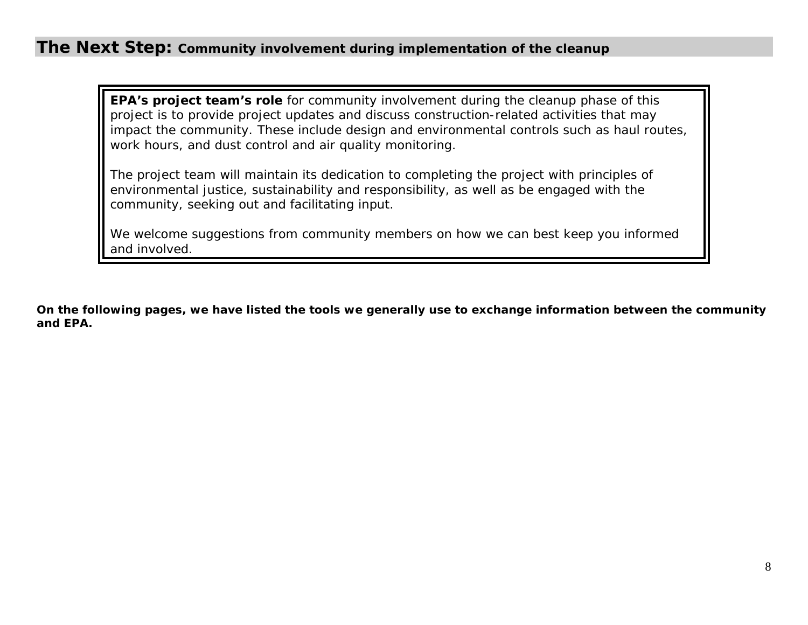### **The Next Step: Community involvement during implementation of the cleanup**

**EPA's project team's role** for community involvement during the cleanup phase of this project is to provide project updates and discuss construction-related activities that may impact the community. These include design and environmental controls such as haul routes, work hours, and dust control and air quality monitoring.

The project team will maintain its dedication to completing the project with principles of environmental justice, sustainability and responsibility, as well as be engaged with the community, seeking out and facilitating input.

We welcome suggestions from community members on how we can best keep you informed and involved.

*On the following pages, we have listed the tools we generally use to exchange information between the community and EPA.*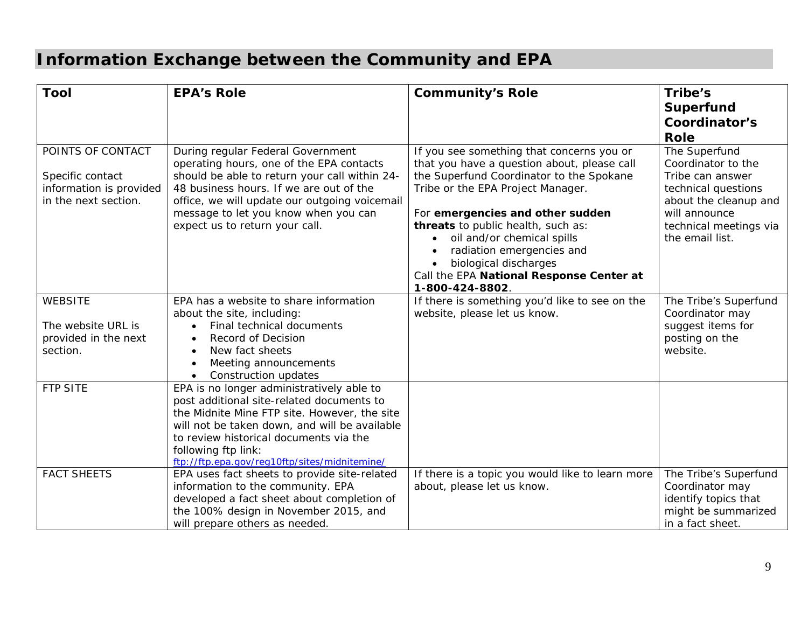## **Information Exchange between the Community and EPA**

| <b>Tool</b>                                                                              | <b>EPA's Role</b>                                                                                                                                                                                                                                                                                         | <b>Community's Role</b>                                                                                                                                                                                                                                                                                                                                                                                | Tribe's                                                                                                                                                               |
|------------------------------------------------------------------------------------------|-----------------------------------------------------------------------------------------------------------------------------------------------------------------------------------------------------------------------------------------------------------------------------------------------------------|--------------------------------------------------------------------------------------------------------------------------------------------------------------------------------------------------------------------------------------------------------------------------------------------------------------------------------------------------------------------------------------------------------|-----------------------------------------------------------------------------------------------------------------------------------------------------------------------|
|                                                                                          |                                                                                                                                                                                                                                                                                                           |                                                                                                                                                                                                                                                                                                                                                                                                        | <b>Superfund</b>                                                                                                                                                      |
|                                                                                          |                                                                                                                                                                                                                                                                                                           |                                                                                                                                                                                                                                                                                                                                                                                                        | Coordinator's                                                                                                                                                         |
|                                                                                          |                                                                                                                                                                                                                                                                                                           |                                                                                                                                                                                                                                                                                                                                                                                                        | Role                                                                                                                                                                  |
| POINTS OF CONTACT<br>Specific contact<br>information is provided<br>in the next section. | During regular Federal Government<br>operating hours, one of the EPA contacts<br>should be able to return your call within 24-<br>48 business hours. If we are out of the<br>office, we will update our outgoing voicemail<br>message to let you know when you can<br>expect us to return your call.      | If you see something that concerns you or<br>that you have a question about, please call<br>the Superfund Coordinator to the Spokane<br>Tribe or the EPA Project Manager.<br>For emergencies and other sudden<br>threats to public health, such as:<br>oil and/or chemical spills<br>radiation emergencies and<br>biological discharges<br>Call the EPA National Response Center at<br>1-800-424-8802. | The Superfund<br>Coordinator to the<br>Tribe can answer<br>technical questions<br>about the cleanup and<br>will announce<br>technical meetings via<br>the email list. |
| <b>WEBSITE</b>                                                                           | EPA has a website to share information<br>about the site, including:                                                                                                                                                                                                                                      | If there is something you'd like to see on the<br>website, please let us know.                                                                                                                                                                                                                                                                                                                         | The Tribe's Superfund<br>Coordinator may                                                                                                                              |
| The website URL is<br>provided in the next<br>section.                                   | Final technical documents<br>Record of Decision<br>New fact sheets<br>Meeting announcements<br>Construction updates                                                                                                                                                                                       |                                                                                                                                                                                                                                                                                                                                                                                                        | suggest items for<br>posting on the<br>website.                                                                                                                       |
| <b>FTP SITE</b>                                                                          | EPA is no longer administratively able to<br>post additional site-related documents to<br>the Midnite Mine FTP site. However, the site<br>will not be taken down, and will be available<br>to review historical documents via the<br>following ftp link:<br>ftp://ftp.epa.gov/reg10ftp/sites/midnitemine/ |                                                                                                                                                                                                                                                                                                                                                                                                        |                                                                                                                                                                       |
| <b>FACT SHEETS</b>                                                                       | EPA uses fact sheets to provide site-related<br>information to the community. EPA<br>developed a fact sheet about completion of<br>the 100% design in November 2015, and<br>will prepare others as needed.                                                                                                | If there is a topic you would like to learn more<br>about, please let us know.                                                                                                                                                                                                                                                                                                                         | The Tribe's Superfund<br>Coordinator may<br>identify topics that<br>might be summarized<br>in a fact sheet.                                                           |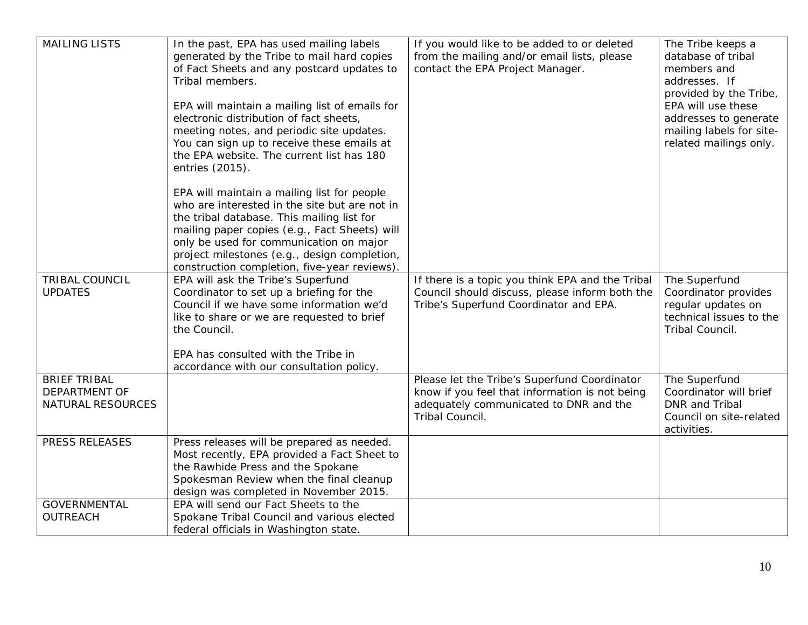| <b>MAILING LISTS</b>                                      | In the past, EPA has used mailing labels<br>generated by the Tribe to mail hard copies<br>of Fact Sheets and any postcard updates to<br>Tribal members.<br>EPA will maintain a mailing list of emails for<br>electronic distribution of fact sheets,<br>meeting notes, and periodic site updates.                                     | If you would like to be added to or deleted<br>from the mailing and/or email lists, please<br>contact the EPA Project Manager.                              | The Tribe keeps a<br>database of tribal<br>members and<br>addresses. If<br>provided by the Tribe,<br>EPA will use these<br>addresses to generate<br>mailing labels for site- |
|-----------------------------------------------------------|---------------------------------------------------------------------------------------------------------------------------------------------------------------------------------------------------------------------------------------------------------------------------------------------------------------------------------------|-------------------------------------------------------------------------------------------------------------------------------------------------------------|------------------------------------------------------------------------------------------------------------------------------------------------------------------------------|
|                                                           | You can sign up to receive these emails at<br>the EPA website. The current list has 180<br>entries (2015).                                                                                                                                                                                                                            |                                                                                                                                                             | related mailings only.                                                                                                                                                       |
|                                                           | EPA will maintain a mailing list for people<br>who are interested in the site but are not in<br>the tribal database. This mailing list for<br>mailing paper copies (e.g., Fact Sheets) will<br>only be used for communication on major<br>project milestones (e.g., design completion,<br>construction completion, five-year reviews) |                                                                                                                                                             |                                                                                                                                                                              |
| <b>TRIBAL COUNCIL</b><br><b>UPDATES</b>                   | EPA will ask the Tribe's Superfund<br>Coordinator to set up a briefing for the<br>Council if we have some information we'd<br>like to share or we are requested to brief<br>the Council.<br>EPA has consulted with the Tribe in                                                                                                       | If there is a topic you think EPA and the Tribal<br>Council should discuss, please inform both the<br>Tribe's Superfund Coordinator and EPA.                | The Superfund<br>Coordinator provides<br>regular updates on<br>technical issues to the<br>Tribal Council.                                                                    |
| <b>BRIEF TRIBAL</b><br>DEPARTMENT OF<br>NATURAL RESOURCES | accordance with our consultation policy.                                                                                                                                                                                                                                                                                              | Please let the Tribe's Superfund Coordinator<br>know if you feel that information is not being<br>adequately communicated to DNR and the<br>Tribal Council. | The Superfund<br>Coordinator will brief<br><b>DNR</b> and Tribal<br>Council on site-related<br>activities.                                                                   |
| PRESS RELEASES                                            | Press releases will be prepared as needed.<br>Most recently, EPA provided a Fact Sheet to<br>the Rawhide Press and the Spokane<br>Spokesman Review when the final cleanup<br>design was completed in November 2015.                                                                                                                   |                                                                                                                                                             |                                                                                                                                                                              |
| <b>GOVERNMENTAL</b><br>OUTREACH                           | EPA will send our Fact Sheets to the<br>Spokane Tribal Council and various elected<br>federal officials in Washington state.                                                                                                                                                                                                          |                                                                                                                                                             |                                                                                                                                                                              |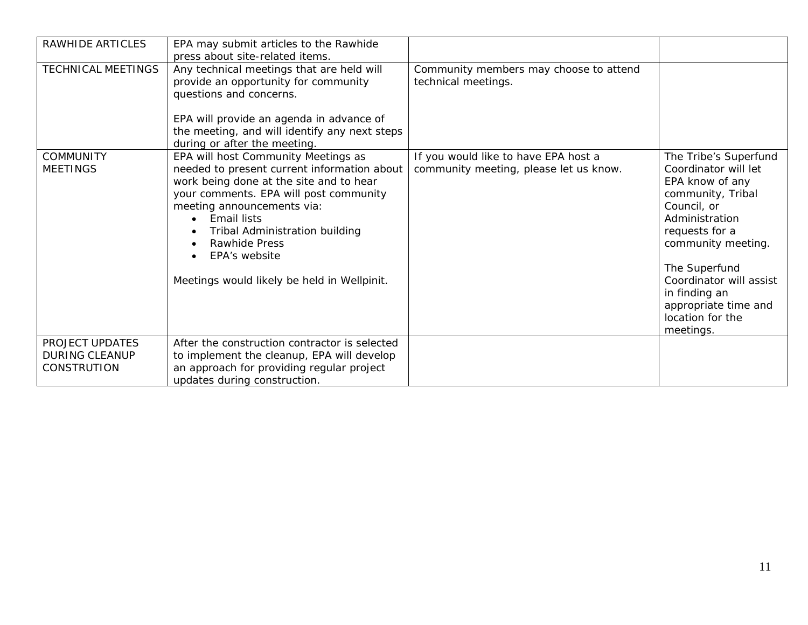| RAWHIDE ARTICLES                                               | EPA may submit articles to the Rawhide<br>press about site-related items.                                                                                                                                                                                                                                                                                   |                                                                                |                                                                                                                                                                                                                                                                                      |
|----------------------------------------------------------------|-------------------------------------------------------------------------------------------------------------------------------------------------------------------------------------------------------------------------------------------------------------------------------------------------------------------------------------------------------------|--------------------------------------------------------------------------------|--------------------------------------------------------------------------------------------------------------------------------------------------------------------------------------------------------------------------------------------------------------------------------------|
| <b>TECHNICAL MEETINGS</b>                                      | Any technical meetings that are held will<br>provide an opportunity for community<br>questions and concerns.<br>EPA will provide an agenda in advance of<br>the meeting, and will identify any next steps<br>during or after the meeting.                                                                                                                   | Community members may choose to attend<br>technical meetings.                  |                                                                                                                                                                                                                                                                                      |
| <b>COMMUNITY</b><br><b>MEETINGS</b>                            | EPA will host Community Meetings as<br>needed to present current information about<br>work being done at the site and to hear<br>your comments. EPA will post community<br>meeting announcements via:<br><b>Email lists</b><br>$\bullet$<br>Tribal Administration building<br>Rawhide Press<br>EPA's website<br>Meetings would likely be held in Wellpinit. | If you would like to have EPA host a<br>community meeting, please let us know. | The Tribe's Superfund<br>Coordinator will let<br>EPA know of any<br>community, Tribal<br>Council, or<br>Administration<br>requests for a<br>community meeting.<br>The Superfund<br>Coordinator will assist<br>in finding an<br>appropriate time and<br>location for the<br>meetings. |
| PROJECT UPDATES<br><b>DURING CLEANUP</b><br><b>CONSTRUTION</b> | After the construction contractor is selected<br>to implement the cleanup, EPA will develop<br>an approach for providing regular project<br>updates during construction.                                                                                                                                                                                    |                                                                                |                                                                                                                                                                                                                                                                                      |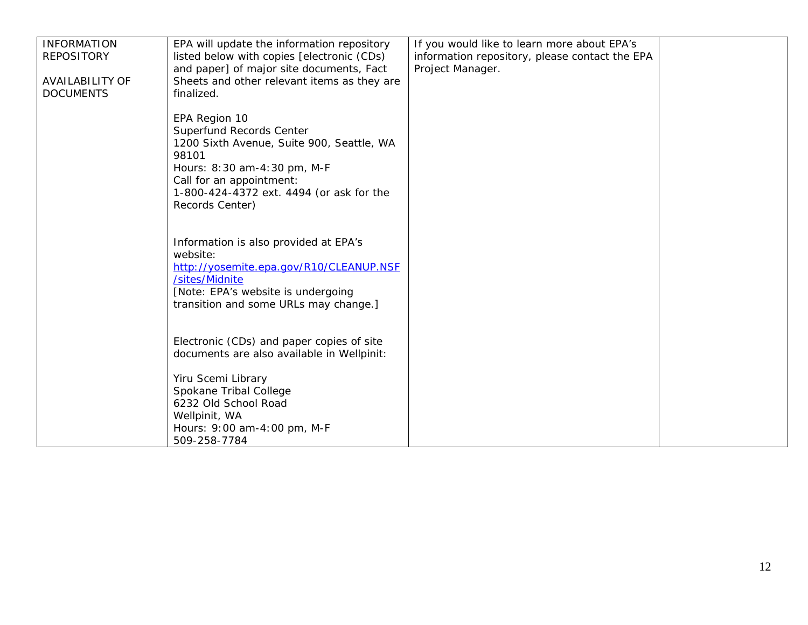| <b>INFORMATION</b><br><b>REPOSITORY</b><br><b>AVAILABILITY OF</b><br><b>DOCUMENTS</b> | EPA will update the information repository<br>listed below with copies [electronic (CDs)<br>and paper] of major site documents, Fact<br>Sheets and other relevant items as they are<br>finalized.                         | If you would like to learn more about EPA's<br>information repository, please contact the EPA<br>Project Manager. |  |
|---------------------------------------------------------------------------------------|---------------------------------------------------------------------------------------------------------------------------------------------------------------------------------------------------------------------------|-------------------------------------------------------------------------------------------------------------------|--|
|                                                                                       | EPA Region 10<br>Superfund Records Center<br>1200 Sixth Avenue, Suite 900, Seattle, WA<br>98101<br>Hours: 8:30 am-4:30 pm, M-F<br>Call for an appointment:<br>1-800-424-4372 ext. 4494 (or ask for the<br>Records Center) |                                                                                                                   |  |
|                                                                                       | Information is also provided at EPA's<br>website:<br>http://yosemite.epa.gov/R10/CLEANUP.NSF<br>/sites/Midnite<br>[Note: EPA's website is undergoing<br>transition and some URLs may change.]                             |                                                                                                                   |  |
|                                                                                       | Electronic (CDs) and paper copies of site<br>documents are also available in Wellpinit:                                                                                                                                   |                                                                                                                   |  |
|                                                                                       | Yiru Scemi Library<br>Spokane Tribal College<br>6232 Old School Road<br>Wellpinit, WA<br>Hours: 9:00 am-4:00 pm, M-F<br>509-258-7784                                                                                      |                                                                                                                   |  |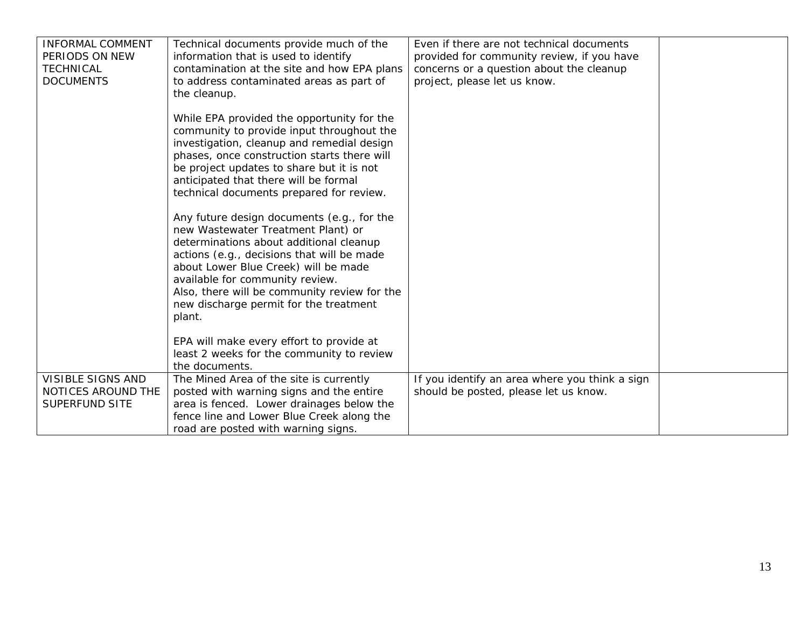| <b>INFORMAL COMMENT</b><br>PERIODS ON NEW<br><b>TECHNICAL</b><br><b>DOCUMENTS</b> | Technical documents provide much of the<br>information that is used to identify<br>contamination at the site and how EPA plans<br>to address contaminated areas as part of<br>the cleanup.<br>While EPA provided the opportunity for the<br>community to provide input throughout the<br>investigation, cleanup and remedial design<br>phases, once construction starts there will<br>be project updates to share but it is not<br>anticipated that there will be formal<br>technical documents prepared for review.<br>Any future design documents (e.g., for the<br>new Wastewater Treatment Plant) or<br>determinations about additional cleanup<br>actions (e.g., decisions that will be made<br>about Lower Blue Creek) will be made<br>available for community review.<br>Also, there will be community review for the<br>new discharge permit for the treatment<br>plant.<br>EPA will make every effort to provide at<br>least 2 weeks for the community to review | Even if there are not technical documents<br>provided for community review, if you have<br>concerns or a question about the cleanup<br>project, please let us know. |  |
|-----------------------------------------------------------------------------------|---------------------------------------------------------------------------------------------------------------------------------------------------------------------------------------------------------------------------------------------------------------------------------------------------------------------------------------------------------------------------------------------------------------------------------------------------------------------------------------------------------------------------------------------------------------------------------------------------------------------------------------------------------------------------------------------------------------------------------------------------------------------------------------------------------------------------------------------------------------------------------------------------------------------------------------------------------------------------|---------------------------------------------------------------------------------------------------------------------------------------------------------------------|--|
| <b>VISIBLE SIGNS AND</b>                                                          | the documents.<br>The Mined Area of the site is currently                                                                                                                                                                                                                                                                                                                                                                                                                                                                                                                                                                                                                                                                                                                                                                                                                                                                                                                 | If you identify an area where you think a sign                                                                                                                      |  |
| NOTICES AROUND THE<br><b>SUPERFUND SITE</b>                                       | posted with warning signs and the entire<br>area is fenced. Lower drainages below the<br>fence line and Lower Blue Creek along the<br>road are posted with warning signs.                                                                                                                                                                                                                                                                                                                                                                                                                                                                                                                                                                                                                                                                                                                                                                                                 | should be posted, please let us know.                                                                                                                               |  |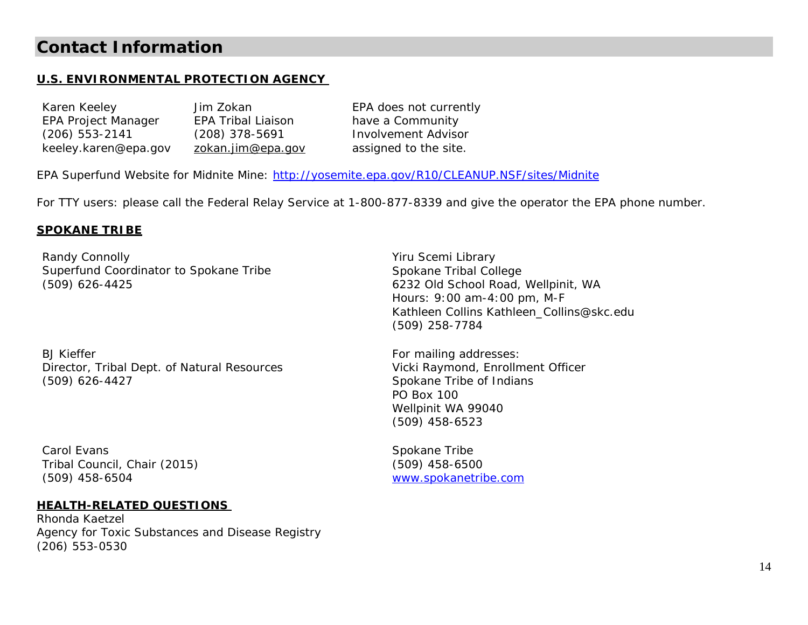### **Contact Information**

#### **U.S. ENVIRONMENTAL PROTECTION AGENCY**

Karen Keeley Jim Zokan EPA Project Manager EPA Tribal Liaison (206) 553-2141 (208) 378-5691 keeley.karen@epa.gov zokan.jim@epa.gov

EPA does not currently have a Community Involvement Advisor assigned to the site.

EPA Superfund Website for Midnite Mine: http://yosemite.epa.gov/R10/CLEANUP.NSF/sites/Midnite

For TTY users: please call the Federal Relay Service at 1-800-877-8339 and give the operator the EPA phone number.

#### **SPOKANE TRIBE**

Randy Connolly Superfund Coordinator to Spokane Tribe (509) 626-4425

BJ Kieffer Director, Tribal Dept. of Natural Resources (509) 626-4427

Carol Evans Tribal Council, Chair (2015) (509) 458-6504

#### **HEALTH-RELATED QUESTIONS**

Rhonda Kaetzel Agency for Toxic Substances and Disease Registry (206) 553-0530

Yiru Scemi Library Spokane Tribal College 6232 Old School Road, Wellpinit, WA Hours: 9:00 am-4:00 pm, M-F Kathleen Collins Kathleen\_Collins@skc.edu (509) 258-7784

For mailing addresses: Vicki Raymond, Enrollment Officer Spokane Tribe of Indians PO Box 100 Wellpinit WA 99040 (509) 458-6523

Spokane Tribe (509) 458-6500 www.spokanetribe.com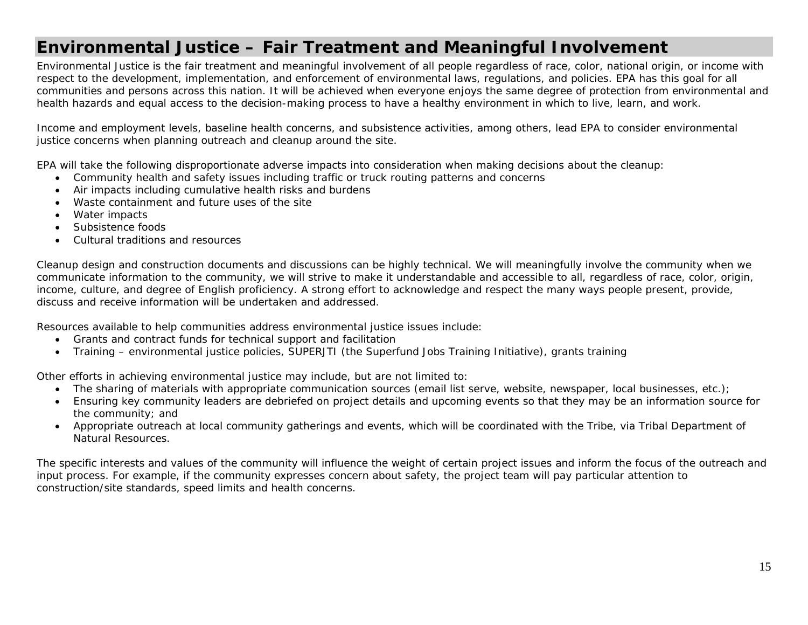### **Environmental Justice – Fair Treatment and Meaningful Involvement**

*Environmental Justice is the fair treatment and meaningful involvement of all people regardless of race, color, national origin, or income with respect to the development, implementation, and enforcement of environmental laws, regulations, and policies. EPA has this goal for all communities and persons across this nation. It will be achieved when everyone enjoys the same degree of protection from environmental and health hazards and equal access to the decision-making process to have a healthy environment in which to live, learn, and work.* 

Income and employment levels, baseline health concerns, and subsistence activities, among others, lead EPA to consider environmental justice concerns when planning outreach and cleanup around the site.

EPA will take the following disproportionate adverse impacts into consideration when making decisions about the cleanup:

- Community health and safety issues including traffic or truck routing patterns and concerns
- Air impacts including cumulative health risks and burdens
- Waste containment and future uses of the site
- Water impacts
- Subsistence foods
- Cultural traditions and resources

Cleanup design and construction documents and discussions can be highly technical. We will meaningfully involve the community when we communicate information to the community, we will strive to make it understandable and accessible to all, regardless of race, color, origin, income, culture, and degree of English proficiency. A strong effort to acknowledge and respect the many ways people present, provide, discuss and receive information will be undertaken and addressed.

Resources available to help communities address environmental justice issues include:

- Grants and contract funds for technical support and facilitation
- Training environmental justice policies, SUPERJTI (the Superfund Jobs Training Initiative), grants training

Other efforts in achieving environmental justice may include, but are not limited to:

- The sharing of materials with appropriate communication sources (email list serve, website, newspaper, local businesses, etc.);
- Ensuring key community leaders are debriefed on project details and upcoming events so that they may be an information source for the community; and
- Appropriate outreach at local community gatherings and events, which will be coordinated with the Tribe, via Tribal Department of Natural Resources.

The specific interests and values of the community will influence the weight of certain project issues and inform the focus of the outreach and input process. For example, if the community expresses concern about safety, the project team will pay particular attention to construction/site standards, speed limits and health concerns.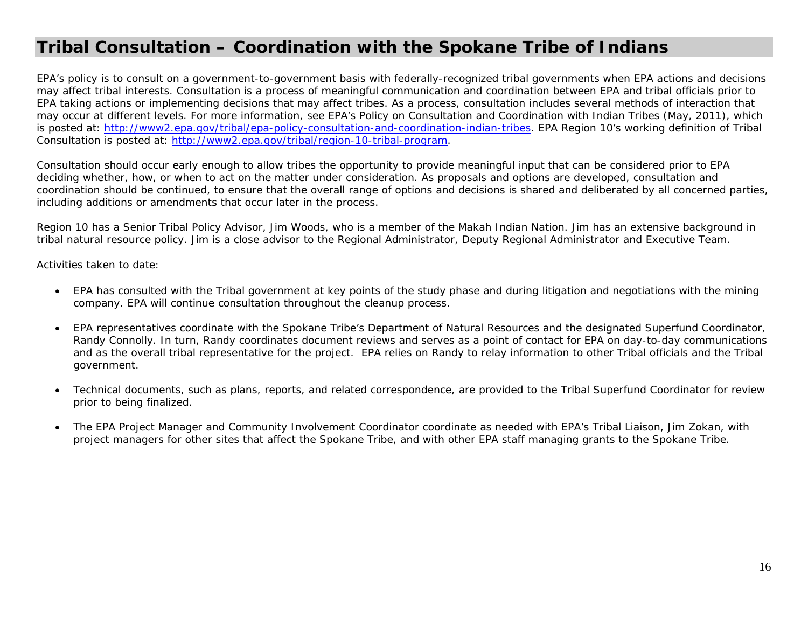### **Tribal Consultation – Coordination with the Spokane Tribe of Indians**

EPA's policy is to consult on a government-to-government basis with federally-recognized tribal governments when EPA actions and decisions may affect tribal interests. Consultation is a process of meaningful communication and coordination between EPA and tribal officials prior to EPA taking actions or implementing decisions that may affect tribes. As a process, consultation includes several methods of interaction that may occur at different levels. For more information, see EPA's Policy on Consultation and Coordination with Indian Tribes (May, 2011), which is posted at: http://www2.epa.gov/tribal/epa-policy-consultation-and-coordination-indian-tribes. EPA Region 10's working definition of Tribal Consultation is posted at: http://www2.epa.gov/tribal/region-10-tribal-program.

Consultation should occur early enough to allow tribes the opportunity to provide meaningful input that can be considered prior to EPA deciding whether, how, or when to act on the matter under consideration. As proposals and options are developed, consultation and coordination should be continued, to ensure that the overall range of options and decisions is shared and deliberated by all concerned parties, including additions or amendments that occur later in the process.

Region 10 has a Senior Tribal Policy Advisor, Jim Woods, who is a member of the Makah Indian Nation. Jim has an extensive background in tribal natural resource policy. Jim is a close advisor to the Regional Administrator, Deputy Regional Administrator and Executive Team.

Activities taken to date:

- EPA has consulted with the Tribal government at key points of the study phase and during litigation and negotiations with the mining company. EPA will continue consultation throughout the cleanup process.
- EPA representatives coordinate with the Spokane Tribe's Department of Natural Resources and the designated Superfund Coordinator, Randy Connolly. In turn, Randy coordinates document reviews and serves as a point of contact for EPA on day-to-day communications and as the overall tribal representative for the project. EPA relies on Randy to relay information to other Tribal officials and the Tribal government.
- $\bullet$  Technical documents, such as plans, reports, and related correspondence, are provided to the Tribal Superfund Coordinator for review prior to being finalized.
- $\bullet$  The EPA Project Manager and Community Involvement Coordinator coordinate as needed with EPA's Tribal Liaison, Jim Zokan, with project managers for other sites that affect the Spokane Tribe, and with other EPA staff managing grants to the Spokane Tribe.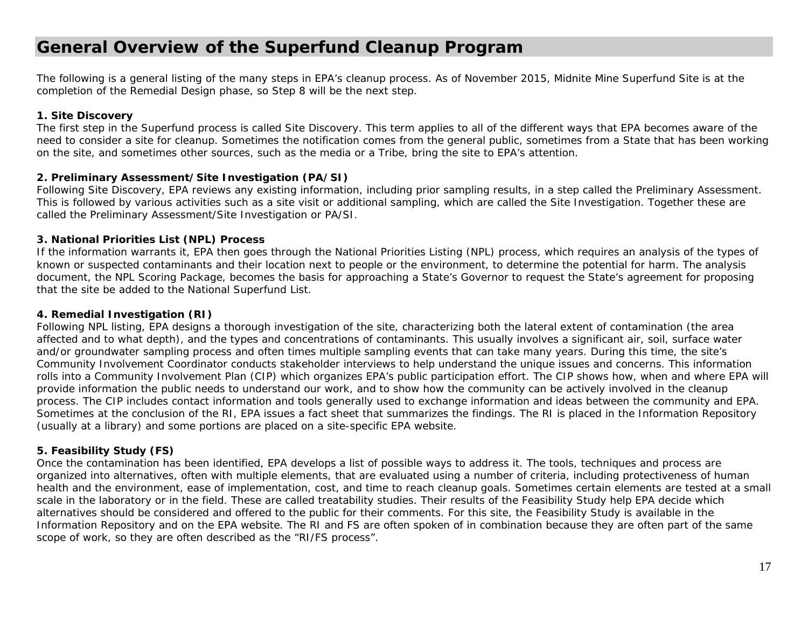### **General Overview of the Superfund Cleanup Program**

The following is a general listing of the many steps in EPA's cleanup process. As of November 2015, Midnite Mine Superfund Site is at the completion of the Remedial Design phase, so Step 8 will be the next step.

#### **1. Site Discovery**

The first step in the Superfund process is called Site Discovery. This term applies to all of the different ways that EPA becomes aware of the need to consider a site for cleanup. Sometimes the notification comes from the general public, sometimes from a State that has been working on the site, and sometimes other sources, such as the media or a Tribe, bring the site to EPA's attention.

#### **2. Preliminary Assessment/Site Investigation (PA/SI)**

Following Site Discovery, EPA reviews any existing information, including prior sampling results, in a step called the Preliminary Assessment. This is followed by various activities such as a site visit or additional sampling, which are called the Site Investigation. Together these are called the Preliminary Assessment/Site Investigation or PA/SI.

#### **3. National Priorities List (NPL) Process**

If the information warrants it, EPA then goes through the National Priorities Listing (NPL) process, which requires an analysis of the types of known or suspected contaminants and their location next to people or the environment, to determine the potential for harm. The analysis document, the NPL Scoring Package, becomes the basis for approaching a State's Governor to request the State's agreement for proposing that the site be added to the National Superfund List.

#### **4. Remedial Investigation (RI)**

Following NPL listing, EPA designs a thorough investigation of the site, characterizing both the lateral extent of contamination (the area affected and to what depth), and the types and concentrations of contaminants. This usually involves a significant air, soil, surface water and/or groundwater sampling process and often times multiple sampling events that can take many years. During this time, the site's Community Involvement Coordinator conducts stakeholder interviews to help understand the unique issues and concerns. This information rolls into a Community Involvement Plan (CIP) which organizes EPA's public participation effort. The CIP shows how, when and where EPA will provide information the public needs to understand our work, and to show how the community can be actively involved in the cleanup process. The CIP includes contact information and tools generally used to exchange information and ideas between the community and EPA. Sometimes at the conclusion of the RI, EPA issues a fact sheet that summarizes the findings. The RI is placed in the Information Repository (usually at a library) and some portions are placed on a site-specific EPA website.

#### **5. Feasibility Study (FS)**

Once the contamination has been identified, EPA develops a list of possible ways to address it. The tools, techniques and process are organized into alternatives, often with multiple elements, that are evaluated using a number of criteria, including protectiveness of human health and the environment, ease of implementation, cost, and time to reach cleanup goals. Sometimes certain elements are tested at a small scale in the laboratory or in the field. These are called treatability studies. Their results of the Feasibility Study help EPA decide which alternatives should be considered and offered to the public for their comments. For this site, the Feasibility Study is available in the Information Repository and on the EPA website. The RI and FS are often spoken of in combination because they are often part of the same scope of work, so they are often described as the "RI/FS process".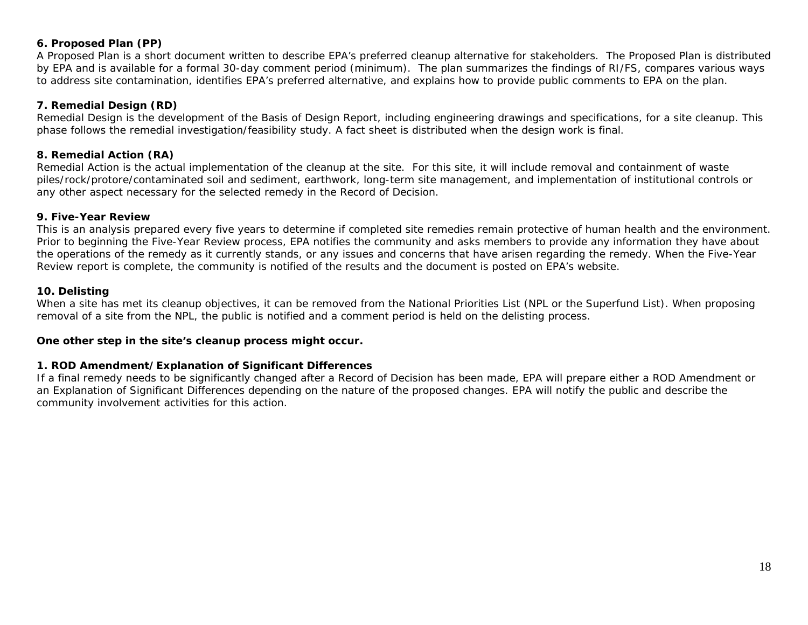#### **6. Proposed Plan (PP)**

A Proposed Plan is a short document written to describe EPA's preferred cleanup alternative for stakeholders. The Proposed Plan is distributed by EPA and is available for a formal 30-day comment period (minimum). The plan summarizes the findings of RI/FS, compares various ways to address site contamination, identifies EPA's preferred alternative, and explains how to provide public comments to EPA on the plan.

#### **7. Remedial Design (RD)**

Remedial Design is the development of the Basis of Design Report, including engineering drawings and specifications, for a site cleanup. This phase follows the remedial investigation/feasibility study. A fact sheet is distributed when the design work is final.

#### **8. Remedial Action (RA)**

Remedial Action is the actual implementation of the cleanup at the site. For this site, it will include removal and containment of waste piles/rock/protore/contaminated soil and sediment, earthwork, long-term site management, and implementation of institutional controls or any other aspect necessary for the selected remedy in the Record of Decision.

#### **9. Five-Year Review**

This is an analysis prepared every five years to determine if completed site remedies remain protective of human health and the environment. Prior to beginning the Five-Year Review process, EPA notifies the community and asks members to provide any information they have about the operations of the remedy as it currently stands, or any issues and concerns that have arisen regarding the remedy. When the Five-Year Review report is complete, the community is notified of the results and the document is posted on EPA's website.

#### **10. Delisting**

When a site has met its cleanup objectives, it can be removed from the National Priorities List (NPL or the Superfund List). When proposing removal of a site from the NPL, the public is notified and a comment period is held on the delisting process.

#### *One other step in the site's cleanup process might occur.*

#### **1. ROD Amendment/Explanation of Significant Differences**

If a final remedy needs to be significantly changed after a Record of Decision has been made, EPA will prepare either a ROD Amendment or an Explanation of Significant Differences depending on the nature of the proposed changes. EPA will notify the public and describe the community involvement activities for this action.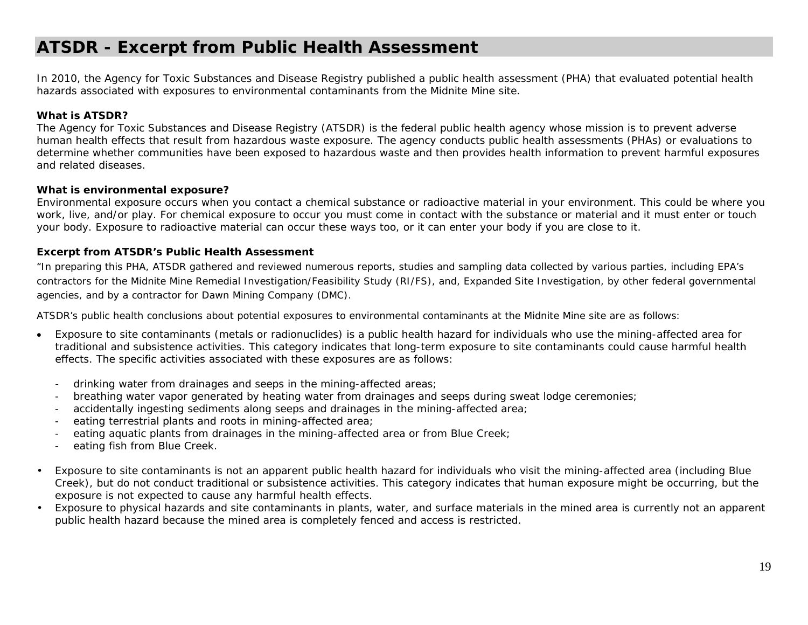### **ATSDR - Excerpt from Public Health Assessment**

*In 2010, the Agency for Toxic Substances and Disease Registry published a public health assessment (PHA) that evaluated potential health hazards associated with exposures to environmental contaminants from the Midnite Mine site.* 

#### **What is ATSDR?**

The Agency for Toxic Substances and Disease Registry (ATSDR) is the federal public health agency whose mission is to prevent adverse human health effects that result from hazardous waste exposure. The agency conducts public health assessments (PHAs) or evaluations to determine whether communities have been exposed to hazardous waste and then provides health information to prevent harmful exposures and related diseases.

#### **What is environmental exposure?**

Environmental exposure occurs when you contact a chemical substance or radioactive material in your environment. This could be where you work, live, and/or play. For chemical exposure to occur you must come in contact with the substance or material and it must enter or touch your body. Exposure to radioactive material can occur these ways too, or it can enter your body if you are close to it.

#### **Excerpt from ATSDR's Public Health Assessment**

"In preparing this PHA, ATSDR gathered and reviewed numerous reports, studies and sampling data collected by various parties, including EPA's contractors for the Midnite Mine Remedial Investigation/Feasibility Study (RI/FS), and, Expanded Site Investigation, by other federal governmental agencies, and by a contractor for Dawn Mining Company (DMC).

ATSDR's public health conclusions about potential exposures to environmental contaminants at the Midnite Mine site are as follows:

- c Exposure to site contaminants (metals or radionuclides) is a public health hazard for individuals who use the mining-affected area for traditional and subsistence activities. This category indicates that long-term exposure to site contaminants could cause harmful health effects. The specific activities associated with these exposures are as follows:
	- drinking water from drainages and seeps in the mining-affected areas;
	- breathing water vapor generated by heating water from drainages and seeps during sweat lodge ceremonies;
	- accidentally ingesting sediments along seeps and drainages in the mining-affected area;
	- eating terrestrial plants and roots in mining-affected area;
	- eating aquatic plants from drainages in the mining-affected area or from Blue Creek;
	- eating fish from Blue Creek.
- • Exposure to site contaminants is not an apparent public health hazard for individuals who visit the mining-affected area (including Blue Creek), but do not conduct traditional or subsistence activities. This category indicates that human exposure might be occurring, but the exposure is not expected to cause any harmful health effects.
- • Exposure to physical hazards and site contaminants in plants, water, and surface materials in the mined area is currently not an apparent public health hazard because the mined area is completely fenced and access is restricted.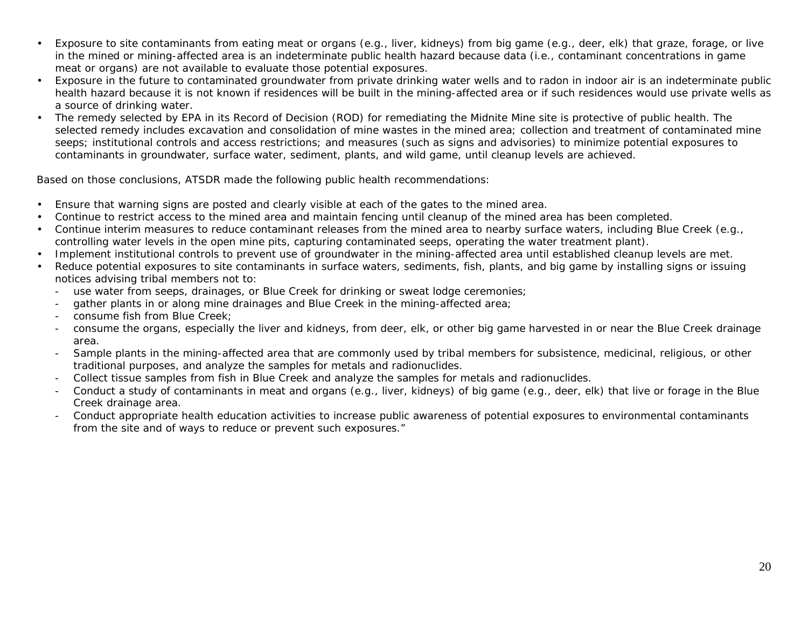- • Exposure to site contaminants from eating meat or organs (e.g., liver, kidneys) from big game (e.g., deer, elk) that graze, forage, or live in the mined or mining-affected area is an indeterminate public health hazard because data (i.e., contaminant concentrations in game meat or organs) are not available to evaluate those potential exposures.
- • Exposure in the future to contaminated groundwater from private drinking water wells and to radon in indoor air is an indeterminate public health hazard because it is not known if residences will be built in the mining-affected area or if such residences would use private wells as a source of drinking water.
- • The remedy selected by EPA in its Record of Decision (ROD) for remediating the Midnite Mine site is protective of public health. The selected remedy includes excavation and consolidation of mine wastes in the mined area; collection and treatment of contaminated mine seeps; institutional controls and access restrictions; and measures (such as signs and advisories) to minimize potential exposures to contaminants in groundwater, surface water, sediment, plants, and wild game, until cleanup levels are achieved.

Based on those conclusions, ATSDR made the following public health recommendations:

- •Ensure that warning signs are posted and clearly visible at each of the gates to the mined area.
- •Continue to restrict access to the mined area and maintain fencing until cleanup of the mined area has been completed.
- • Continue interim measures to reduce contaminant releases from the mined area to nearby surface waters, including Blue Creek (e.g., controlling water levels in the open mine pits, capturing contaminated seeps, operating the water treatment plant).
- •Implement institutional controls to prevent use of groundwater in the mining-affected area until established cleanup levels are met.
- • Reduce potential exposures to site contaminants in surface waters, sediments, fish, plants, and big game by installing signs or issuing notices advising tribal members not to:
	- use water from seeps, drainages, or Blue Creek for drinking or sweat lodge ceremonies;
	- gather plants in or along mine drainages and Blue Creek in the mining-affected area;
	- consume fish from Blue Creek;
	- consume the organs, especially the liver and kidneys, from deer, elk, or other big game harvested in or near the Blue Creek drainage area.
	- Sample plants in the mining-affected area that are commonly used by tribal members for subsistence, medicinal, religious, or other traditional purposes, and analyze the samples for metals and radionuclides.
	- Collect tissue samples from fish in Blue Creek and analyze the samples for metals and radionuclides.
	- Conduct a study of contaminants in meat and organs (e.g., liver, kidneys) of big game (e.g., deer, elk) that live or forage in the Blue Creek drainage area.
	- Conduct appropriate health education activities to increase public awareness of potential exposures to environmental contaminants from the site and of ways to reduce or prevent such exposures."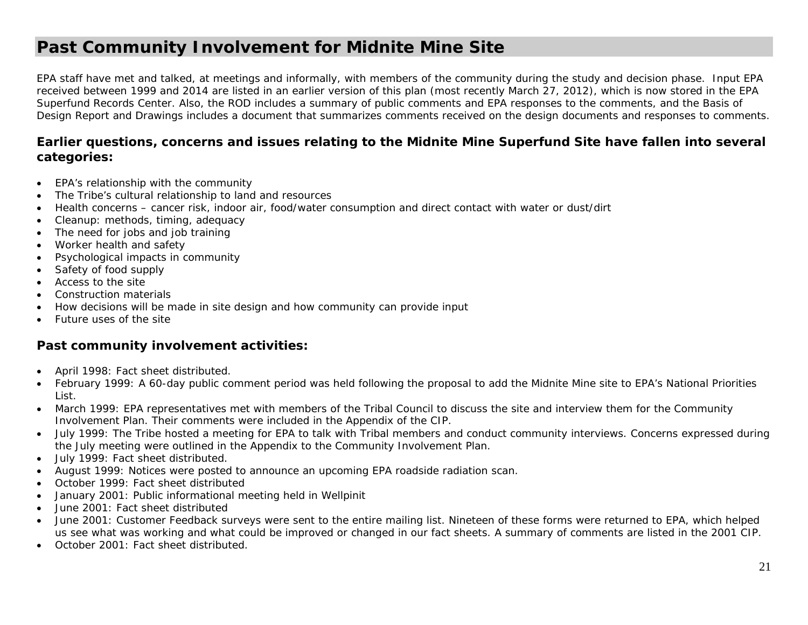### **Past Community Involvement for Midnite Mine Site**

EPA staff have met and talked, at meetings and informally, with members of the community during the study and decision phase. Input EPA received between 1999 and 2014 are listed in an earlier version of this plan (most recently March 27, 2012), which is now stored in the EPA Superfund Records Center. Also, the ROD includes a summary of public comments and EPA responses to the comments, and the Basis of Design Report and Drawings includes a document that summarizes comments received on the design documents and responses to comments.

#### **Earlier questions, concerns and issues relating to the Midnite Mine Superfund Site have fallen into several categories:**

- $\bullet$ EPA's relationship with the community
- $\bullet$ The Tribe's cultural relationship to land and resources
- $\bullet$ Health concerns – cancer risk, indoor air, food/water consumption and direct contact with water or dust/dirt
- $\bullet$ Cleanup: methods, timing, adequacy
- $\bullet$ The need for jobs and job training
- $\bullet$ Worker health and safety
- $\bullet$ Psychological impacts in community
- $\bullet$ Safety of food supply
- Access to the site
- $\bullet$ Construction materials
- $\bullet$ How decisions will be made in site design and how community can provide input
- $\bullet$ Future uses of the site

#### **Past community involvement activities:**

- $\bullet$ April 1998: Fact sheet distributed.
- c February 1999: A 60-day public comment period was held following the proposal to add the Midnite Mine site to EPA's National Priorities List.
- 0 March 1999: EPA representatives met with members of the Tribal Council to discuss the site and interview them for the Community Involvement Plan. Their comments were included in the Appendix of the CIP.
- July 1999: The Tribe hosted a meeting for EPA to talk with Tribal members and conduct community interviews. Concerns expressed during the July meeting were outlined in the Appendix to the Community Involvement Plan.
- $\bullet$ July 1999: Fact sheet distributed.
- $\bullet$ August 1999: Notices were posted to announce an upcoming EPA roadside radiation scan.
- $\bullet$ October 1999: Fact sheet distributed
- $\bullet$ January 2001: Public informational meeting held in Wellpinit
- 0 June 2001: Fact sheet distributed
- $\bullet$  June 2001: Customer Feedback surveys were sent to the entire mailing list. Nineteen of these forms were returned to EPA, which helped us see what was working and what could be improved or changed in our fact sheets. A summary of comments are listed in the 2001 CIP.
- October 2001: Fact sheet distributed.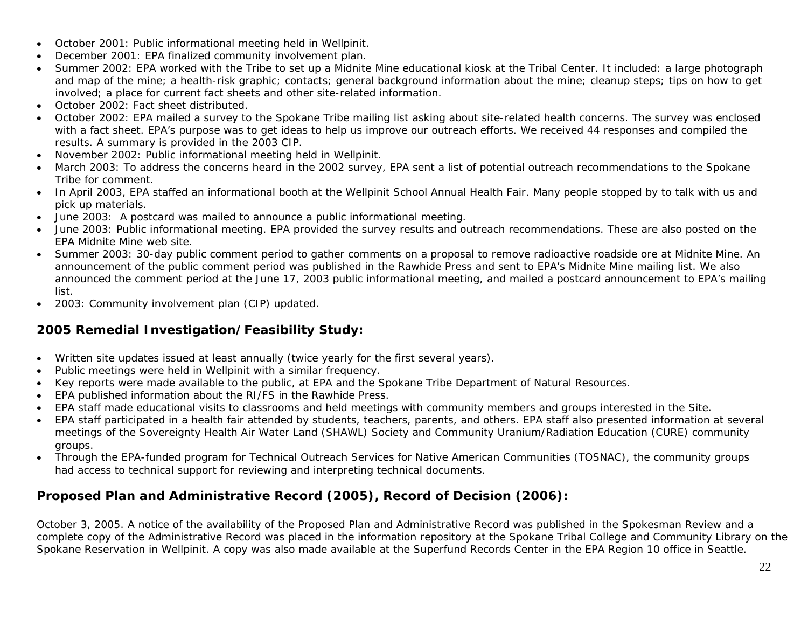- e October 2001: Public informational meeting held in Wellpinit.
- $\bullet$ December 2001: EPA finalized community involvement plan.
- Summer 2002: EPA worked with the Tribe to set up a Midnite Mine educational kiosk at the Tribal Center. It included: a large photograph and map of the mine; a health-risk graphic; contacts; general background information about the mine; cleanup steps; tips on how to get involved; a place for current fact sheets and other site-related information.
- October 2002: Fact sheet distributed.
- October 2002: EPA mailed a survey to the Spokane Tribe mailing list asking about site-related health concerns. The survey was enclosed with a fact sheet. EPA's purpose was to get ideas to help us improve our outreach efforts. We received 44 responses and compiled the results. A summary is provided in the 2003 CIP.
- November 2002: Public informational meeting held in Wellpinit.
- March 2003: To address the concerns heard in the 2002 survey, EPA sent a list of potential outreach recommendations to the Spokane Tribe for comment.
- In April 2003, EPA staffed an informational booth at the Wellpinit School Annual Health Fair. Many people stopped by to talk with us and pick up materials.
- June 2003: A postcard was mailed to announce a public informational meeting.
- June 2003: Public informational meeting. EPA provided the survey results and outreach recommendations. These are also posted on the EPA Midnite Mine web site.
- Summer 2003: 30-day public comment period to gather comments on a proposal to remove radioactive roadside ore at Midnite Mine. An announcement of the public comment period was published in the Rawhide Press and sent to EPA's Midnite Mine mailing list. We also announced the comment period at the June 17, 2003 public informational meeting, and mailed a postcard announcement to EPA's mailing list.
- $\bullet$ 2003: Community involvement plan (CIP) updated.

### **2005 Remedial Investigation/Feasibility Study:**

- $\bullet$ Written site updates issued at least annually (twice yearly for the first several years).
- $\bullet$ Public meetings were held in Wellpinit with a similar frequency.
- $\bullet$ Key reports were made available to the public, at EPA and the Spokane Tribe Department of Natural Resources.
- $\bullet$ EPA published information about the RI/FS in the Rawhide Press.
- e EPA staff made educational visits to classrooms and held meetings with community members and groups interested in the Site.
- $\bullet$  EPA staff participated in a health fair attended by students, teachers, parents, and others. EPA staff also presented information at several meetings of the Sovereignty Health Air Water Land (SHAWL) Society and Community Uranium/Radiation Education (CURE) community groups.
- $\bullet$  Through the EPA-funded program for Technical Outreach Services for Native American Communities (TOSNAC), the community groups had access to technical support for reviewing and interpreting technical documents.

### **Proposed Plan and Administrative Record (2005), Record of Decision (2006):**

October 3, 2005. A notice of the availability of the Proposed Plan and Administrative Record was published in the Spokesman Review and a complete copy of the Administrative Record was placed in the information repository at the Spokane Tribal College and Community Library on the Spokane Reservation in Wellpinit. A copy was also made available at the Superfund Records Center in the EPA Region 10 office in Seattle.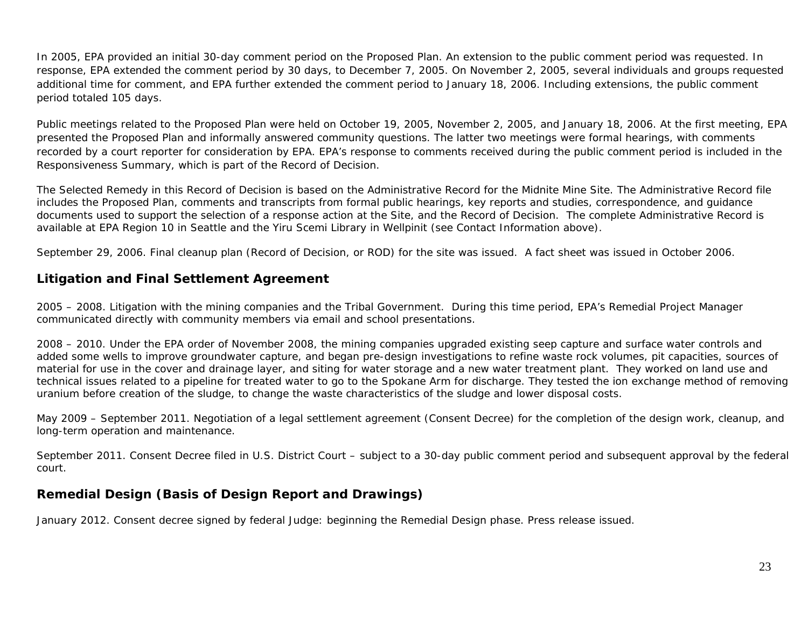In 2005, EPA provided an initial 30-day comment period on the Proposed Plan. An extension to the public comment period was requested. In response, EPA extended the comment period by 30 days, to December 7, 2005. On November 2, 2005, several individuals and groups requested additional time for comment, and EPA further extended the comment period to January 18, 2006. Including extensions, the public comment period totaled 105 days.

Public meetings related to the Proposed Plan were held on October 19, 2005, November 2, 2005, and January 18, 2006. At the first meeting, EPA presented the Proposed Plan and informally answered community questions. The latter two meetings were formal hearings, with comments recorded by a court reporter for consideration by EPA. EPA's response to comments received during the public comment period is included in the Responsiveness Summary, which is part of the Record of Decision.

The Selected Remedy in this Record of Decision is based on the Administrative Record for the Midnite Mine Site. The Administrative Record file includes the Proposed Plan, comments and transcripts from formal public hearings, key reports and studies, correspondence, and guidance documents used to support the selection of a response action at the Site, and the Record of Decision. The complete Administrative Record is available at EPA Region 10 in Seattle and the Yiru Scemi Library in Wellpinit (see Contact Information above).

September 29, 2006. Final cleanup plan (Record of Decision, or ROD) for the site was issued. A fact sheet was issued in October 2006.

#### **Litigation and Final Settlement Agreement**

2005 – 2008. Litigation with the mining companies and the Tribal Government. During this time period, EPA's Remedial Project Manager communicated directly with community members via email and school presentations.

2008 – 2010. Under the EPA order of November 2008, the mining companies upgraded existing seep capture and surface water controls and added some wells to improve groundwater capture, and began pre-design investigations to refine waste rock volumes, pit capacities, sources of material for use in the cover and drainage layer, and siting for water storage and a new water treatment plant. They worked on land use and technical issues related to a pipeline for treated water to go to the Spokane Arm for discharge. They tested the ion exchange method of removing uranium before creation of the sludge, to change the waste characteristics of the sludge and lower disposal costs.

May 2009 – September 2011. Negotiation of a legal settlement agreement (Consent Decree) for the completion of the design work, cleanup, and long-term operation and maintenance.

September 2011. Consent Decree filed in U.S. District Court – subject to a 30-day public comment period and subsequent approval by the federal court.

### **Remedial Design (Basis of Design Report and Drawings)**

January 2012. Consent decree signed by federal Judge: beginning the Remedial Design phase. Press release issued.